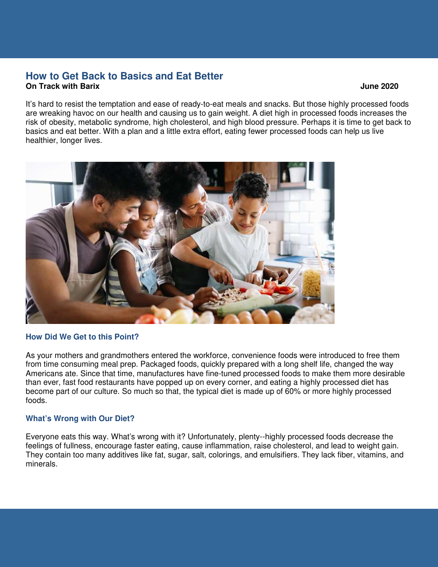## **How to Get Back to Basics and Eat Better On Track with Barix June 2020**

It's hard to resist the temptation and ease of ready-to-eat meals and snacks. But those highly processed foods are wreaking havoc on our health and causing us to gain weight. A diet high in processed foods increases the risk of obesity, metabolic syndrome, high cholesterol, and high blood pressure. Perhaps it is time to get back to basics and eat better. With a plan and a little extra effort, eating fewer processed foods can help us live healthier, longer lives.



### **How Did We Get to this Point?**

As your mothers and grandmothers entered the workforce, convenience foods were introduced to free them from time consuming meal prep. Packaged foods, quickly prepared with a long shelf life, changed the way Americans ate. Since that time, manufactures have fine-tuned processed foods to make them more desirable than ever, fast food restaurants have popped up on every corner, and eating a highly processed diet has become part of our culture. So much so that, the typical diet is made up of 60% or more highly processed foods.

### **What's Wrong with Our Diet?**

Everyone eats this way. What's wrong with it? Unfortunately, plenty--highly processed foods decrease the feelings of fullness, encourage faster eating, cause inflammation, raise cholesterol, and lead to weight gain. They contain too many additives like fat, sugar, salt, colorings, and emulsifiers. They lack fiber, vitamins, and minerals.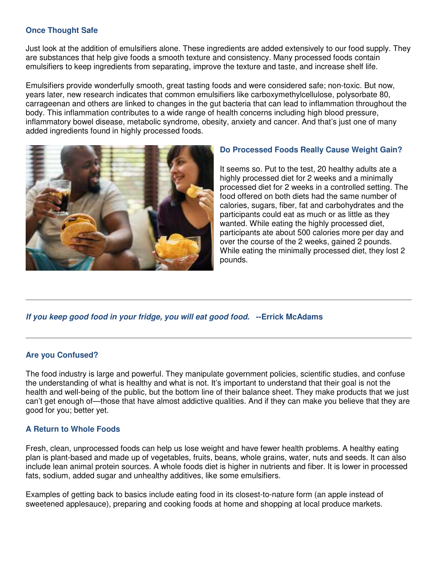# **Once Thought Safe**

Just look at the addition of emulsifiers alone. These ingredients are added extensively to our food supply. They are substances that help give foods a smooth texture and consistency. Many processed foods contain emulsifiers to keep ingredients from separating, improve the texture and taste, and increase shelf life.

Emulsifiers provide wonderfully smooth, great tasting foods and were considered safe; non-toxic. But now, years later, new research indicates that common emulsifiers like carboxymethylcellulose, polysorbate 80, carrageenan and others are linked to changes in the gut bacteria that can lead to inflammation throughout the body. This inflammation contributes to a wide range of health concerns including high blood pressure, inflammatory bowel disease, metabolic syndrome, obesity, anxiety and cancer. And that's just one of many added ingredients found in highly processed foods.



# **Do Processed Foods Really Cause Weight Gain?**

It seems so. Put to the test, 20 healthy adults ate a highly processed diet for 2 weeks and a minimally processed diet for 2 weeks in a controlled setting. The food offered on both diets had the same number of calories, sugars, fiber, fat and carbohydrates and the participants could eat as much or as little as they wanted. While eating the highly processed diet, participants ate about 500 calories more per day and over the course of the 2 weeks, gained 2 pounds. While eating the minimally processed diet, they lost 2 pounds.

### **If you keep good food in your fridge, you will eat good food. --Errick McAdams**

### **Are you Confused?**

The food industry is large and powerful. They manipulate government policies, scientific studies, and confuse the understanding of what is healthy and what is not. It's important to understand that their goal is not the health and well-being of the public, but the bottom line of their balance sheet. They make products that we just can't get enough of—those that have almost addictive qualities. And if they can make you believe that they are good for you; better yet.

### **A Return to Whole Foods**

Fresh, clean, unprocessed foods can help us lose weight and have fewer health problems. A healthy eating plan is plant-based and made up of vegetables, fruits, beans, whole grains, water, nuts and seeds. It can also include lean animal protein sources. A whole foods diet is higher in nutrients and fiber. It is lower in processed fats, sodium, added sugar and unhealthy additives, like some emulsifiers.

Examples of getting back to basics include eating food in its closest-to-nature form (an apple instead of sweetened applesauce), preparing and cooking foods at home and shopping at local produce markets.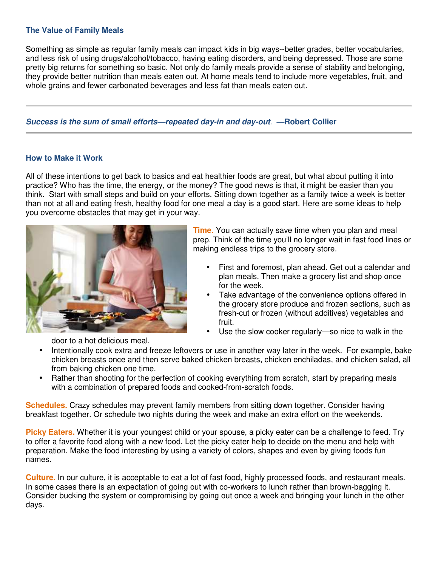## **The Value of Family Meals**

Something as simple as regular family meals can impact kids in big ways--better grades, better vocabularies, and less risk of using drugs/alcohol/tobacco, having eating disorders, and being depressed. Those are some pretty big returns for something so basic. Not only do family meals provide a sense of stability and belonging, they provide better nutrition than meals eaten out. At home meals tend to include more vegetables, fruit, and whole grains and fewer carbonated beverages and less fat than meals eaten out.

#### **Success is the sum of small efforts—repeated day-in and day-out**. **—Robert Collier**

#### **How to Make it Work**

All of these intentions to get back to basics and eat healthier foods are great, but what about putting it into practice? Who has the time, the energy, or the money? The good news is that, it might be easier than you think. Start with small steps and build on your efforts. Sitting down together as a family twice a week is better than not at all and eating fresh, healthy food for one meal a day is a good start. Here are some ideas to help you overcome obstacles that may get in your way.



**Time.** You can actually save time when you plan and meal prep. Think of the time you'll no longer wait in fast food lines or making endless trips to the grocery store.

- First and foremost, plan ahead. Get out a calendar and plan meals. Then make a grocery list and shop once for the week.
- Take advantage of the convenience options offered in the grocery store produce and frozen sections, such as fresh-cut or frozen (without additives) vegetables and fruit.
- Use the slow cooker regularly—so nice to walk in the

door to a hot delicious meal.

- Intentionally cook extra and freeze leftovers or use in another way later in the week. For example, bake chicken breasts once and then serve baked chicken breasts, chicken enchiladas, and chicken salad, all from baking chicken one time.
- Rather than shooting for the perfection of cooking everything from scratch, start by preparing meals with a combination of prepared foods and cooked-from-scratch foods.

**Schedules.** Crazy schedules may prevent family members from sitting down together. Consider having breakfast together. Or schedule two nights during the week and make an extra effort on the weekends.

**Picky Eaters.** Whether it is your youngest child or your spouse, a picky eater can be a challenge to feed. Try to offer a favorite food along with a new food. Let the picky eater help to decide on the menu and help with preparation. Make the food interesting by using a variety of colors, shapes and even by giving foods fun names.

**Culture.** In our culture, it is acceptable to eat a lot of fast food, highly processed foods, and restaurant meals. In some cases there is an expectation of going out with co-workers to lunch rather than brown-bagging it. Consider bucking the system or compromising by going out once a week and bringing your lunch in the other days.